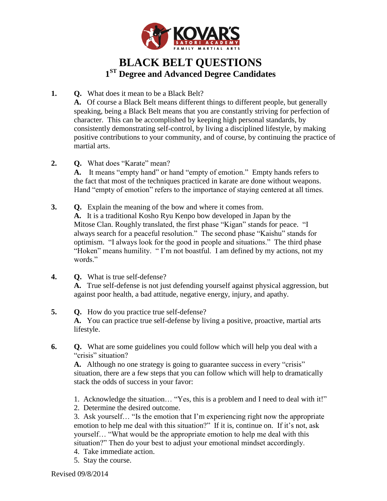

## **BLACK BELT QUESTIONS 1 ST Degree and Advanced Degree Candidates**

**1. Q.** What does it mean to be a Black Belt?

**A.** Of course a Black Belt means different things to different people, but generally speaking, being a Black Belt means that you are constantly striving for perfection of character. This can be accomplished by keeping high personal standards, by consistently demonstrating self-control, by living a disciplined lifestyle, by making positive contributions to your community, and of course, by continuing the practice of martial arts.

**2. Q.** What does "Karate" mean?

**A.** It means "empty hand" or hand "empty of emotion." Empty hands refers to the fact that most of the techniques practiced in karate are done without weapons. Hand "empty of emotion" refers to the importance of staying centered at all times.

**3. Q.** Explain the meaning of the bow and where it comes from. **A.** It is a traditional Kosho Ryu Kenpo bow developed in Japan by the Mitose Clan. Roughly translated, the first phase "Kigan" stands for peace. "I always search for a peaceful resolution." The second phase "Kaishu" stands for optimism. "I always look for the good in people and situations." The third phase "Hoken" means humility. " I'm not boastful. I am defined by my actions, not my words."

- **4. Q.** What is true self-defense? **A.** True self-defense is not just defending yourself against physical aggression, but against poor health, a bad attitude, negative energy, injury, and apathy.
- **5. Q.** How do you practice true self-defense? **A.** You can practice true self-defense by living a positive, proactive, martial arts lifestyle.
- **6. Q.** What are some guidelines you could follow which will help you deal with a "crisis" situation?

**A.** Although no one strategy is going to guarantee success in every "crisis" situation, there are a few steps that you can follow which will help to dramatically stack the odds of success in your favor:

- 1. Acknowledge the situation… "Yes, this is a problem and I need to deal with it!"
- 2. Determine the desired outcome.

3. Ask yourself… "Is the emotion that I'm experiencing right now the appropriate emotion to help me deal with this situation?" If it is, continue on. If it's not, ask yourself… "What would be the appropriate emotion to help me deal with this situation?" Then do your best to adjust your emotional mindset accordingly.

- 4. Take immediate action.
- 5. Stay the course.